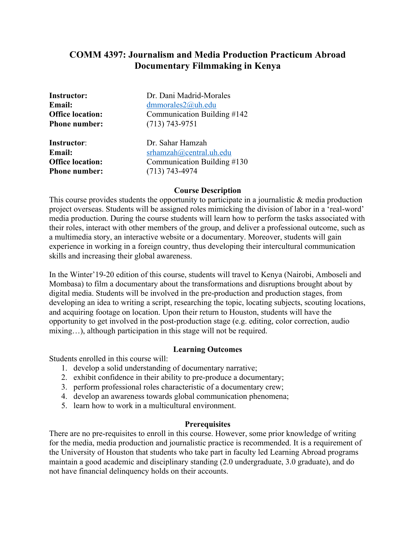# **COMM 4397: Journalism and Media Production Practicum Abroad Documentary Filmmaking in Kenya**

**Phone number:** (713) 743-9751

**Instructor:** Dr. Dani Madrid-Morales **Email:** dmmorales2@uh.edu **Office location:** Communication Building #142

**Instructor**: Dr. Sahar Hamzah **Email:** srhamzah@central.uh.edu **Office location:** Communication Building #130 **Phone number:** (713) 743-4974

### **Course Description**

This course provides students the opportunity to participate in a journalistic & media production project overseas. Students will be assigned roles mimicking the division of labor in a 'real-word' media production. During the course students will learn how to perform the tasks associated with their roles, interact with other members of the group, and deliver a professional outcome, such as a multimedia story, an interactive website or a documentary. Moreover, students will gain experience in working in a foreign country, thus developing their intercultural communication skills and increasing their global awareness.

In the Winter'19-20 edition of this course, students will travel to Kenya (Nairobi, Amboseli and Mombasa) to film a documentary about the transformations and disruptions brought about by digital media. Students will be involved in the pre-production and production stages, from developing an idea to writing a script, researching the topic, locating subjects, scouting locations, and acquiring footage on location. Upon their return to Houston, students will have the opportunity to get involved in the post-production stage (e.g. editing, color correction, audio mixing…), although participation in this stage will not be required.

## **Learning Outcomes**

Students enrolled in this course will:

- 1. develop a solid understanding of documentary narrative;
- 2. exhibit confidence in their ability to pre-produce a documentary;
- 3. perform professional roles characteristic of a documentary crew;
- 4. develop an awareness towards global communication phenomena;
- 5. learn how to work in a multicultural environment.

## **Prerequisites**

There are no pre-requisites to enroll in this course. However, some prior knowledge of writing for the media, media production and journalistic practice is recommended. It is a requirement of the University of Houston that students who take part in faculty led Learning Abroad programs maintain a good academic and disciplinary standing (2.0 undergraduate, 3.0 graduate), and do not have financial delinquency holds on their accounts.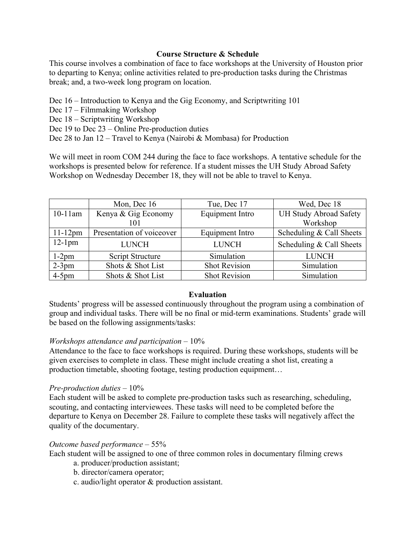# **Course Structure & Schedule**

This course involves a combination of face to face workshops at the University of Houston prior to departing to Kenya; online activities related to pre-production tasks during the Christmas break; and, a two-week long program on location.

Dec 16 – Introduction to Kenya and the Gig Economy, and Scriptwriting 101

- Dec 17 Filmmaking Workshop
- Dec 18 Scriptwriting Workshop

Dec 19 to Dec 23 – Online Pre-production duties

Dec 28 to Jan 12 – Travel to Kenya (Nairobi & Mombasa) for Production

We will meet in room COM 244 during the face to face workshops. A tentative schedule for the workshops is presented below for reference. If a student misses the UH Study Abroad Safety Workshop on Wednesday December 18, they will not be able to travel to Kenya.

|            | Mon, Dec 16               | Tue, Dec 17            | Wed, Dec 18                   |
|------------|---------------------------|------------------------|-------------------------------|
| $10-11$ am | Kenya & Gig Economy       | <b>Equipment Intro</b> | <b>UH Study Abroad Safety</b> |
|            | 101                       |                        | Workshop                      |
| $11-12$ pm | Presentation of voiceover | Equipment Intro        | Scheduling & Call Sheets      |
| $12-1$ pm  | <b>LUNCH</b>              | <b>LUNCH</b>           | Scheduling & Call Sheets      |
| $1-2$ pm   | Script Structure          | Simulation             | <b>LUNCH</b>                  |
| $2-3$ pm   | Shots & Shot List         | <b>Shot Revision</b>   | Simulation                    |
| $4-5$ pm   | Shots & Shot List         | <b>Shot Revision</b>   | Simulation                    |

# **Evaluation**

Students' progress will be assessed continuously throughout the program using a combination of group and individual tasks. There will be no final or mid-term examinations. Students' grade will be based on the following assignments/tasks:

# *Workshops attendance and participation* – 10%

Attendance to the face to face workshops is required. During these workshops, students will be given exercises to complete in class. These might include creating a shot list, creating a production timetable, shooting footage, testing production equipment…

# *Pre-production duties* – 10%

Each student will be asked to complete pre-production tasks such as researching, scheduling, scouting, and contacting interviewees. These tasks will need to be completed before the departure to Kenya on December 28. Failure to complete these tasks will negatively affect the quality of the documentary.

# *Outcome based performance* – 55%

Each student will be assigned to one of three common roles in documentary filming crews

- a. producer/production assistant;
- b. director/camera operator;
- c. audio/light operator & production assistant.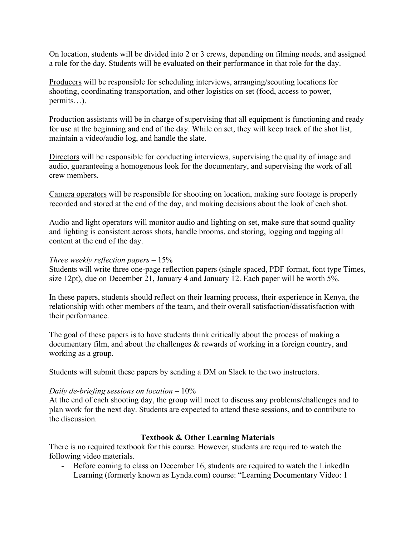On location, students will be divided into 2 or 3 crews, depending on filming needs, and assigned a role for the day. Students will be evaluated on their performance in that role for the day.

Producers will be responsible for scheduling interviews, arranging/scouting locations for shooting, coordinating transportation, and other logistics on set (food, access to power, permits…).

Production assistants will be in charge of supervising that all equipment is functioning and ready for use at the beginning and end of the day. While on set, they will keep track of the shot list, maintain a video/audio log, and handle the slate.

Directors will be responsible for conducting interviews, supervising the quality of image and audio, guaranteeing a homogenous look for the documentary, and supervising the work of all crew members.

Camera operators will be responsible for shooting on location, making sure footage is properly recorded and stored at the end of the day, and making decisions about the look of each shot.

Audio and light operators will monitor audio and lighting on set, make sure that sound quality and lighting is consistent across shots, handle brooms, and storing, logging and tagging all content at the end of the day.

## *Three weekly reflection papers* – 15%

Students will write three one-page reflection papers (single spaced, PDF format, font type Times, size 12pt), due on December 21, January 4 and January 12. Each paper will be worth 5%.

In these papers, students should reflect on their learning process, their experience in Kenya, the relationship with other members of the team, and their overall satisfaction/dissatisfaction with their performance.

The goal of these papers is to have students think critically about the process of making a documentary film, and about the challenges & rewards of working in a foreign country, and working as a group.

Students will submit these papers by sending a DM on Slack to the two instructors.

### *Daily de-briefing sessions on location* – 10%

At the end of each shooting day, the group will meet to discuss any problems/challenges and to plan work for the next day. Students are expected to attend these sessions, and to contribute to the discussion.

## **Textbook & Other Learning Materials**

There is no required textbook for this course. However, students are required to watch the following video materials.

- Before coming to class on December 16, students are required to watch the LinkedIn Learning (formerly known as Lynda.com) course: "Learning Documentary Video: 1